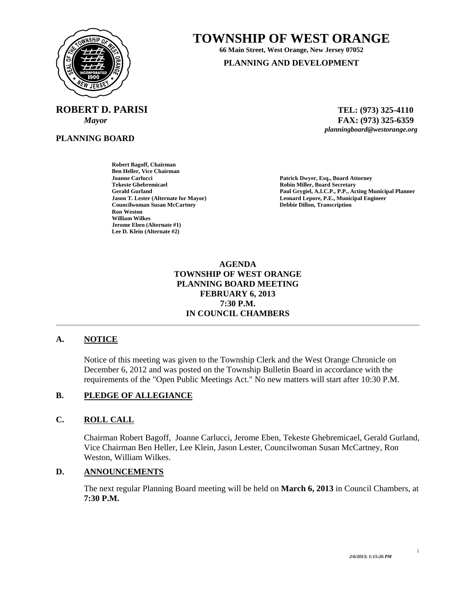

# **TOWNSHIP OF WEST ORANGE**

**66 Main Street, West Orange, New Jersey 07052** 

**PLANNING AND DEVELOPMENT**

**ROBERT D. PARISI** TEL: (973) 325-4110

**PLANNING BOARD**

 *Mayor* **FAX: (973) 325-6359** *planningboard@westorange.org* 

**Robert Bagoff, Chairman Ben Heller, Vice Chairman Joanne Carlucci Patrick Dwyer, Esq., Board Attorney Tekeste Ghebremicael Robin Miller, Board Secretary Councilwoman Susan McCartney Ron Weston William Wilkes Jerome Eben (Alternate #1) Lee D. Klein (Alternate #2)** 

Paul Grygiel, A.I.C.P., P.P., Acting Municipal Planner **Jason T. Lester (Alternate for Mayor) Leonard Lepore, P.E., Municipal Engineer** 

> **AGENDA TOWNSHIP OF WEST ORANGE PLANNING BOARD MEETING FEBRUARY 6, 2013 7:30 P.M. IN COUNCIL CHAMBERS**

## **A. NOTICE**

Notice of this meeting was given to the Township Clerk and the West Orange Chronicle on December 6, 2012 and was posted on the Township Bulletin Board in accordance with the requirements of the "Open Public Meetings Act." No new matters will start after 10:30 P.M.

## **B. PLEDGE OF ALLEGIANCE**

#### **C. ROLL CALL**

Chairman Robert Bagoff, Joanne Carlucci, Jerome Eben, Tekeste Ghebremicael, Gerald Gurland, Vice Chairman Ben Heller, Lee Klein, Jason Lester, Councilwoman Susan McCartney, Ron Weston, William Wilkes.

#### **D. ANNOUNCEMENTS**

The next regular Planning Board meeting will be held on **March 6, 2013** in Council Chambers, at **7:30 P.M.** 

1